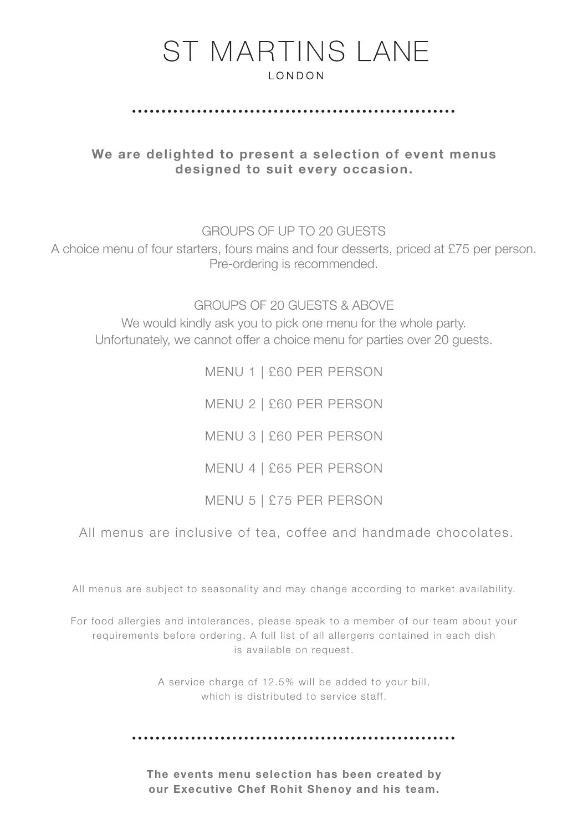#### 

We are delighted to present a selection of event menus designed to suit every occasion.

GROUPS OF UP TO 20 GUESTS

A choice menu of four starters, fours mains and four desserts, priced at £75 per person. Pre-ordering is recommended.

GROUPS OF 20 GUESTS & ABOVE We would kindly ask you to pick one menu for the whole party. Unfortunately, we cannot offer a choice menu for parties over 20 guests.

> MENU 1 | £60 PER PERSON MENU 2 | £60 PER PERSON MENU 3 | £60 PER PERSON MENU 4 | £65 PER PERSON MENU 5 | £75 PER PERSON

All menus are inclusive of tea, coffee and handmade chocolates.

All menus are subject to seasonality and may change according to market availability.

For food allergies and intolerances, please speak to a member of our team about your requirements before ordering. A full list of all allergens contained in each dish is available on request.

> A service charge of 12.5% will be added to your bill, which is distributed to service staff.

The events menu selection has been created by our Executive Chef Rohit Shenoy and his team.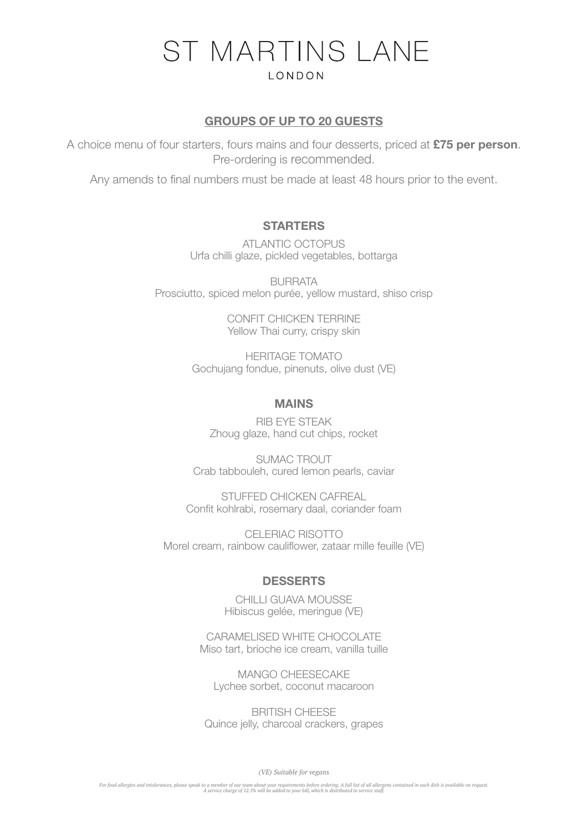### GROUPS OF UP TO 20 GUESTS

A choice menu of four starters, fours mains and four desserts, priced at £75 per person. Pre-ordering is recommended.

Any amends to final numbers must be made at least 48 hours prior to the event.

#### **STARTERS**

ATLANTIC OCTOPUS Urfa chilli glaze, pickled vegetables, bottarga

BURRATA Prosciutto, spiced melon purée, yellow mustard, shiso crisp

> CONFIT CHICKEN TERRINE Yellow Thai curry, crispy skin

HERITAGE TOMATO Gochujang fondue, pinenuts, olive dust (VE)

#### MAINS

RIB EYE STEAK Zhoug glaze, hand cut chips, rocket

SUMAC TROUT Crab tabbouleh, cured lemon pearls, caviar

STUFFED CHICKEN CAFREAL Confit kohlrabi, rosemary daal, coriander foam

CELERIAC RISOTTO Morel cream, rainbow cauliflower, zataar mille feuille (VE)

## **DESSERTS**

CHILLI GUAVA MOUSSE Hibiscus gelée, meringue (VE)

CARAMELISED WHITE CHOCOLATE Miso tart, brioche ice cream, vanilla tuille

MANGO CHEESECAKE Lychee sorbet, coconut macaroon

BRITISH CHEESE Quince jelly, charcoal crackers, grapes

*(VE) Suitable for vegans*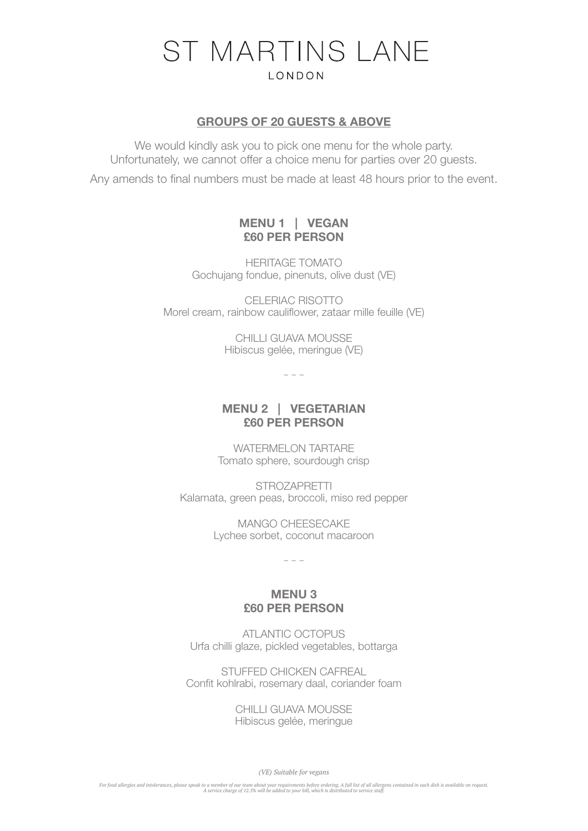#### GROUPS OF 20 GUESTS & ABOVE

We would kindly ask you to pick one menu for the whole party. Unfortunately, we cannot offer a choice menu for parties over 20 guests.

Any amends to final numbers must be made at least 48 hours prior to the event.

## MENU 1 | VEGAN £60 PER PERSON

HERITAGE TOMATO Gochujang fondue, pinenuts, olive dust (VE)

CELERIAC RISOTTO Morel cream, rainbow cauliflower, zataar mille feuille (VE)

> CHILLI GUAVA MOUSSE Hibiscus gelée, meringue (VE)

> > $\sim$  ~ ~

# MENU 2 | VEGETARIAN £60 PER PERSON

WATERMELON TARTARE Tomato sphere, sourdough crisp

**STROZAPRETTI** Kalamata, green peas, broccoli, miso red pepper

> MANGO CHEESECAKE Lychee sorbet, coconut macaroon

> > $\sim$   $\sim$   $\sim$

## MENU 3 £60 PER PERSON

ATLANTIC OCTOPUS Urfa chilli glaze, pickled vegetables, bottarga

STUFFED CHICKEN CAFREAL Confit kohlrabi, rosemary daal, coriander foam

> CHILLI GUAVA MOUSSE Hibiscus gelée, meringue

> > *(VE) Suitable for vegans*